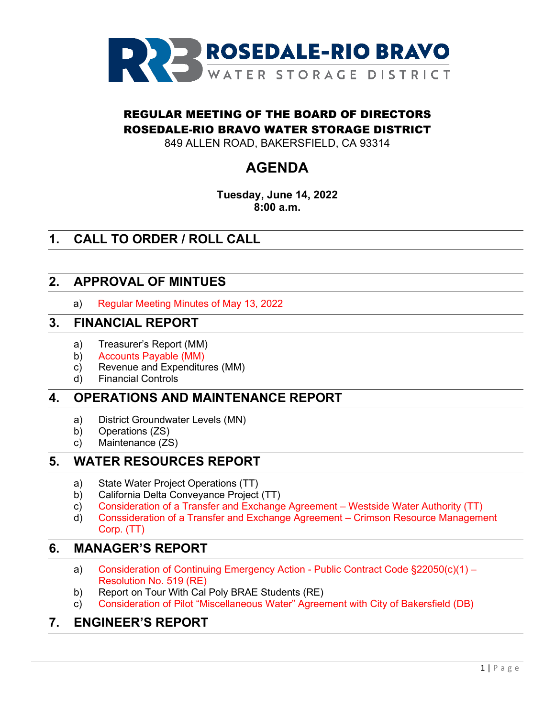

## REGULAR MEETING OF THE BOARD OF DIRECTORS ROSEDALE-RIO BRAVO WATER STORAGE DISTRICT

849 ALLEN ROAD, BAKERSFIELD, CA 93314

# **AGENDA**

**Tuesday, June 14, 2022 8:00 a.m.** 

# **1. CALL TO ORDER / ROLL CALL**

### **2. APPROVAL OF MINTUES**

a) Regular Meeting Minutes of May 13, 2022

#### **3. FINANCIAL REPORT**

- a) Treasurer's Report (MM)
- b) Accounts Payable (MM)
- c) Revenue and Expenditures (MM)
- d) Financial Controls

#### **4. OPERATIONS AND MAINTENANCE REPORT**

- a) District Groundwater Levels (MN)
- b) Operations (ZS)
- c) Maintenance (ZS)

#### **5. WATER RESOURCES REPORT**

- a) State Water Project Operations (TT)
- b) California Delta Conveyance Project (TT)
- c) Consideration of a Transfer and Exchange Agreement Westside Water Authority (TT)
- d) Conssideration of a Transfer and Exchange Agreement Crimson Resource Management Corp. (TT)

#### **6. MANAGER'S REPORT**

- a) Consideration of Continuing Emergency Action Public Contract Code §22050(c)(1) Resolution No. 519 (RE)
- b) Report on Tour With Cal Poly BRAE Students (RE)
- c) Consideration of Pilot "Miscellaneous Water" Agreement with City of Bakersfield (DB)

#### **7. ENGINEER'S REPORT**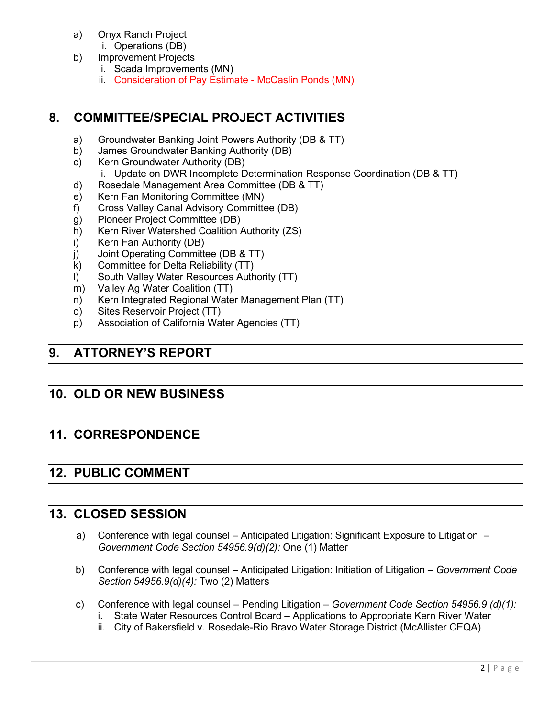- a) Onyx Ranch Project
	- i. Operations (DB)
- b) Improvement Projects
	- i. Scada Improvements (MN)
	- ii. Consideration of Pay Estimate McCaslin Ponds (MN)

### **8. COMMITTEE/SPECIAL PROJECT ACTIVITIES**

- a) Groundwater Banking Joint Powers Authority (DB & TT)
- b) James Groundwater Banking Authority (DB)
- c) Kern Groundwater Authority (DB)
	- i. Update on DWR Incomplete Determination Response Coordination (DB & TT)
- d) Rosedale Management Area Committee (DB & TT)
- e) Kern Fan Monitoring Committee (MN)
- f) Cross Valley Canal Advisory Committee (DB)
- g) Pioneer Project Committee (DB)
- h) Kern River Watershed Coalition Authority (ZS)
- i) Kern Fan Authority (DB)
- j) Joint Operating Committee (DB & TT)
- k) Committee for Delta Reliability (TT)
- l) South Valley Water Resources Authority (TT)
- m) Valley Ag Water Coalition (TT)
- n) Kern Integrated Regional Water Management Plan (TT)
- o) Sites Reservoir Project (TT)
- p) Association of California Water Agencies (TT)

## **9. ATTORNEY'S REPORT**

# **10. OLD OR NEW BUSINESS**

# **11. CORRESPONDENCE**

# **12. PUBLIC COMMENT**

### **13. CLOSED SESSION**

- a) Conference with legal counsel Anticipated Litigation: Significant Exposure to Litigation  *Government Code Section 54956.9(d)(2):* One (1) Matter
- b) Conference with legal counsel Anticipated Litigation: Initiation of Litigation  *Government Code Section 54956.9(d)(4):* Two (2) Matters
- c) Conference with legal counsel Pending Litigation *Government Code Section 54956.9 (d)(1):* 
	- i. State Water Resources Control Board Applications to Appropriate Kern River Water
	- ii. City of Bakersfield v. Rosedale-Rio Bravo Water Storage District (McAllister CEQA)